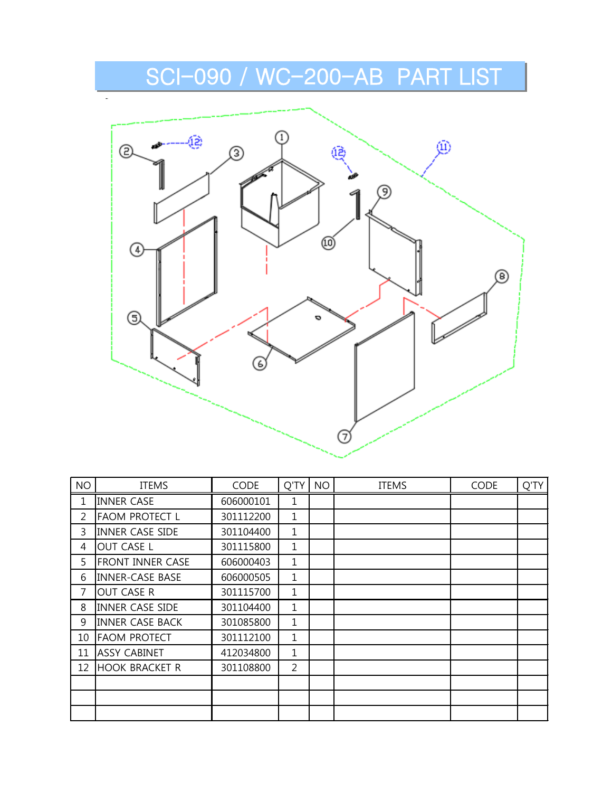

| <b>NO</b> | <b>ITEMS</b>            | <b>CODE</b> | Q'TY           | <b>NO</b> | <b>ITEMS</b> | <b>CODE</b> | Q'TY |
|-----------|-------------------------|-------------|----------------|-----------|--------------|-------------|------|
| 1         | <b>INNER CASE</b>       | 606000101   | 1              |           |              |             |      |
| 2         | <b>FAOM PROTECT L</b>   | 301112200   | 1              |           |              |             |      |
| 3         | <b>INNER CASE SIDE</b>  | 301104400   | $\mathbf{1}$   |           |              |             |      |
| 4         | <b>OUT CASE L</b>       | 301115800   | 1              |           |              |             |      |
| 5         | <b>FRONT INNER CASE</b> | 606000403   | 1              |           |              |             |      |
| 6         | <b>INNER-CASE BASE</b>  | 606000505   | $\mathbf{1}$   |           |              |             |      |
| 7         | OUT CASE R              | 301115700   | $\mathbf 1$    |           |              |             |      |
| 8         | <b>INNER CASE SIDE</b>  | 301104400   | 1              |           |              |             |      |
| 9         | <b>INNER CASE BACK</b>  | 301085800   | 1              |           |              |             |      |
| 10        | <b>FAOM PROTECT</b>     | 301112100   | 1              |           |              |             |      |
| 11        | <b>ASSY CABINET</b>     | 412034800   | 1              |           |              |             |      |
| 12        | <b>HOOK BRACKET R</b>   | 301108800   | $\overline{2}$ |           |              |             |      |
|           |                         |             |                |           |              |             |      |
|           |                         |             |                |           |              |             |      |
|           |                         |             |                |           |              |             |      |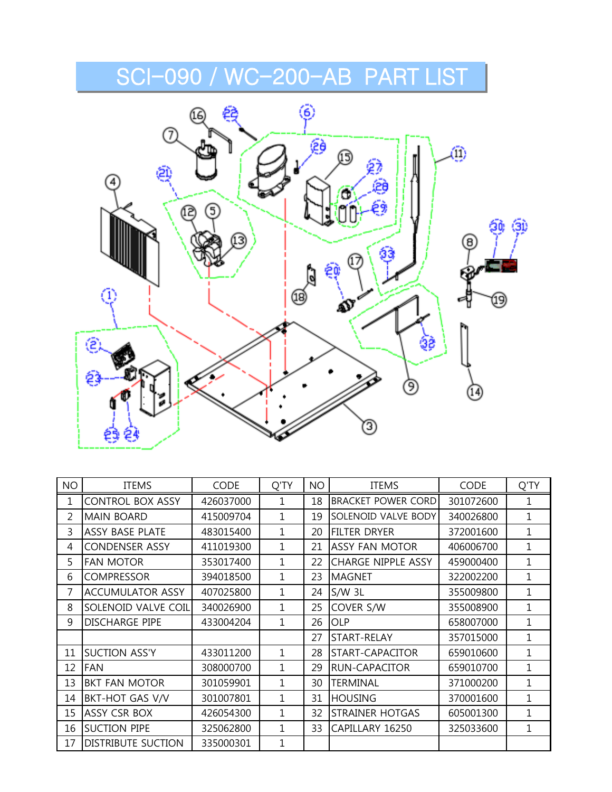

| <b>NO</b> | <b>ITEMS</b>              | <b>CODE</b> | Q'TY        | <b>NO</b> | <b>ITEMS</b>              | CODE      | Q'TY           |
|-----------|---------------------------|-------------|-------------|-----------|---------------------------|-----------|----------------|
| 1         | <b>CONTROL BOX ASSY</b>   | 426037000   | 1           | 18        | <b>BRACKET POWER CORD</b> | 301072600 | 1              |
| 2         | <b>MAIN BOARD</b>         | 415009704   | $\mathbf 1$ | 19        | SOLENOID VALVE BODY       | 340026800 | $\overline{1}$ |
| 3         | <b>ASSY BASE PLATE</b>    | 483015400   | 1           | 20        | <b>FILTER DRYER</b>       | 372001600 | $\mathbf{1}$   |
| 4         | <b>CONDENSER ASSY</b>     | 411019300   | 1           | 21        | <b>ASSY FAN MOTOR</b>     | 406006700 | $\overline{1}$ |
| 5         | <b>FAN MOTOR</b>          | 353017400   | 1           | 22        | CHARGE NIPPLE ASSY        | 459000400 | 1              |
| 6         | <b>COMPRESSOR</b>         | 394018500   | 1           | 23        | <b>MAGNET</b>             | 322002200 | $\mathbf{1}$   |
| 7         | <b>ACCUMULATOR ASSY</b>   | 407025800   | 1           | 24        | $S/W$ 3L                  | 355009800 | $\mathbf 1$    |
| 8         | SOLENOID VALVE COIL       | 340026900   | 1           | 25        | COVER S/W                 | 355008900 | 1              |
| 9         | <b>DISCHARGE PIPE</b>     | 433004204   | 1           | 26        | <b>OLP</b>                | 658007000 | 1              |
|           |                           |             |             | 27        | START-RELAY               | 357015000 | 1              |
| 11        | <b>SUCTION ASS'Y</b>      | 433011200   | 1           | 28        | START-CAPACITOR           | 659010600 | 1              |
| 12        | <b>FAN</b>                | 308000700   | 1           | 29        | <b>RUN-CAPACITOR</b>      | 659010700 | 1              |
| 13        | <b>BKT FAN MOTOR</b>      | 301059901   | 1           | 30        | <b>TERMINAL</b>           | 371000200 | 1              |
| 14        | <b>BKT-HOT GAS V/V</b>    | 301007801   | 1           | 31        | <b>HOUSING</b>            | 370001600 | 1              |
| 15        | <b>ASSY CSR BOX</b>       | 426054300   | 1           | 32        | <b>STRAINER HOTGAS</b>    | 605001300 | 1              |
| 16        | <b>SUCTION PIPE</b>       | 325062800   | 1           | 33        | CAPILLARY 16250           | 325033600 | $\mathbf{1}$   |
| 17        | <b>DISTRIBUTE SUCTION</b> | 335000301   | 1           |           |                           |           |                |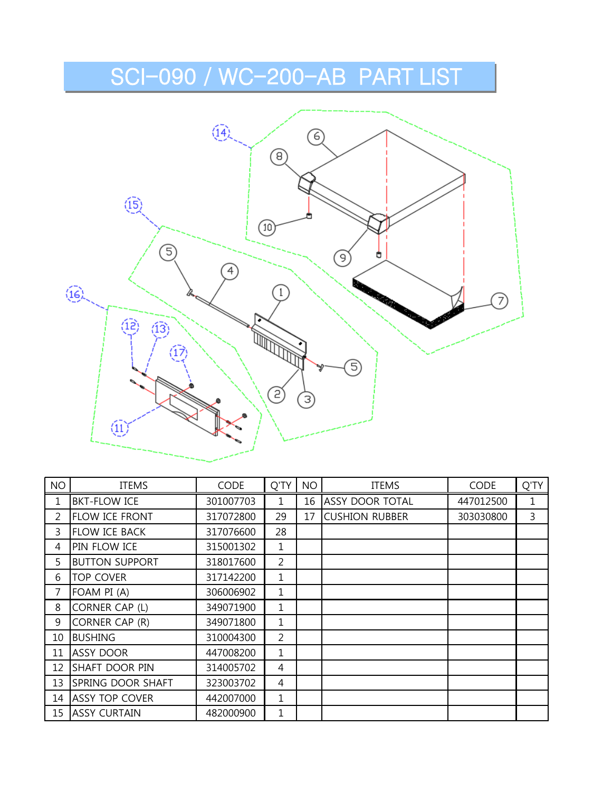

| <b>NO</b>      | ITEMS                 | <b>CODE</b> | Q'TY           | <b>NO</b> | <b>ITEMS</b>           | <b>CODE</b> | Q'TY |
|----------------|-----------------------|-------------|----------------|-----------|------------------------|-------------|------|
| $\mathbf{1}$   | <b>BKT-FLOW ICE</b>   | 301007703   |                | 16        | <b>ASSY DOOR TOTAL</b> | 447012500   | 1    |
| $\overline{2}$ | <b>FLOW ICE FRONT</b> | 317072800   | 29             | 17        | <b>CUSHION RUBBER</b>  | 303030800   | 3    |
| $\mathbf{3}$   | <b>FLOW ICE BACK</b>  | 317076600   | 28             |           |                        |             |      |
| 4              | PIN FLOW ICE          | 315001302   | 1              |           |                        |             |      |
| 5              | <b>BUTTON SUPPORT</b> | 318017600   | $\overline{2}$ |           |                        |             |      |
| 6              | <b>TOP COVER</b>      | 317142200   | $\mathbf{1}$   |           |                        |             |      |
| $\overline{7}$ | FOAM PI (A)           | 306006902   | 1              |           |                        |             |      |
| 8              | CORNER CAP (L)        | 349071900   | $\mathbf{1}$   |           |                        |             |      |
| 9              | CORNER CAP (R)        | 349071800   | 1              |           |                        |             |      |
| 10             | <b>BUSHING</b>        | 310004300   | $\overline{2}$ |           |                        |             |      |
| 11             | <b>ASSY DOOR</b>      | 447008200   | $\mathbf{1}$   |           |                        |             |      |
| 12             | <b>SHAFT DOOR PIN</b> | 314005702   | 4              |           |                        |             |      |
| 13             | SPRING DOOR SHAFT     | 323003702   | 4              |           |                        |             |      |
| 14             | <b>ASSY TOP COVER</b> | 442007000   | $\mathbf{1}$   |           |                        |             |      |
|                | 15 ASSY CURTAIN       | 482000900   | 1              |           |                        |             |      |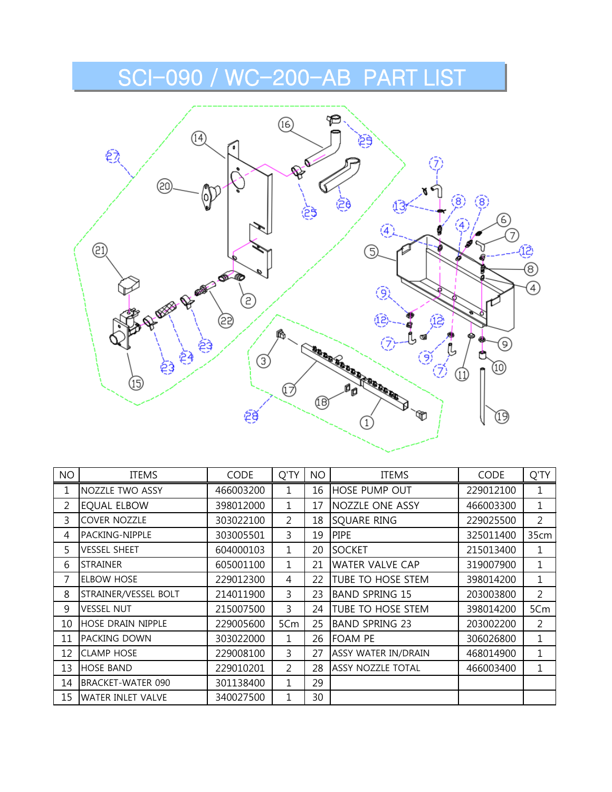

| <b>NO</b>      | <b>ITEMS</b>             | <b>CODE</b> | Q'TY           | <b>NO</b> | <b>ITEMS</b>             | <b>CODE</b> | Q'TY           |
|----------------|--------------------------|-------------|----------------|-----------|--------------------------|-------------|----------------|
| 1              | NOZZLE TWO ASSY          | 466003200   |                | 16        | <b>HOSE PUMP OUT</b>     | 229012100   | 1              |
| $\overline{2}$ | <b>EQUAL ELBOW</b>       | 398012000   | 1              | 17        | <b>NOZZLE ONE ASSY</b>   | 466003300   | 1              |
| $\overline{3}$ | <b>COVER NOZZLE</b>      | 303022100   | $\overline{2}$ | 18        | SQUARE RING              | 229025500   | $\overline{2}$ |
| 4              | PACKING-NIPPLE           | 303005501   | 3              | 19        | <b>PIPE</b>              | 325011400   | 35cm           |
| 5.             | <b>VESSEL SHEET</b>      | 604000103   | 1.             | 20        | <b>SOCKET</b>            | 215013400   | 1              |
| 6              | <b>STRAINER</b>          | 605001100   | 1              | 21        | <b>WATER VALVE CAP</b>   | 319007900   | 1              |
| 7              | <b>ELBOW HOSE</b>        | 229012300   | 4              | 22        | TUBE TO HOSE STEM        | 398014200   | 1              |
| 8              | STRAINER/VESSEL BOLT     | 214011900   | $\overline{3}$ | 23        | <b>BAND SPRING 15</b>    | 203003800   | $\overline{2}$ |
| 9              | <b>VESSEL NUT</b>        | 215007500   | $\overline{3}$ | 24        | TUBE TO HOSE STEM        | 398014200   | 5Cm            |
| 10             | <b>HOSE DRAIN NIPPLE</b> | 229005600   | 5Cm            | 25        | <b>BAND SPRING 23</b>    | 203002200   | 2              |
| 11             | PACKING DOWN             | 303022000   | 1              | 26        | <b>FOAM PE</b>           | 306026800   | $\mathbf 1$    |
| 12             | <b>CLAMP HOSE</b>        | 229008100   | $\overline{3}$ | 27        | ASSY WATER IN/DRAIN      | 468014900   | 1              |
| 13             | <b>HOSE BAND</b>         | 229010201   | $\overline{2}$ | 28        | <b>ASSY NOZZLE TOTAL</b> | 466003400   | 1              |
| 14             | BRACKET-WATER 090        | 301138400   | 1              | 29        |                          |             |                |
| 15             | <b>WATER INLET VALVE</b> | 340027500   |                | 30        |                          |             |                |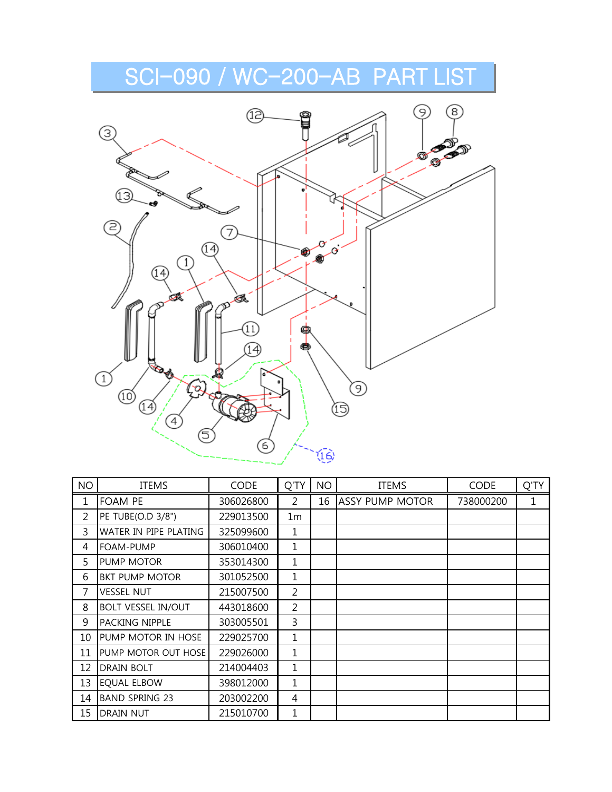

| <b>NO</b>      | <b>ITEMS</b>              | <b>CODE</b> | Q'TY           | <b>NO</b> | <b>ITEMS</b>           | <b>CODE</b> | Q'TY |
|----------------|---------------------------|-------------|----------------|-----------|------------------------|-------------|------|
| 1              | <b>FOAM PE</b>            | 306026800   | 2              | 16        | <b>ASSY PUMP MOTOR</b> | 738000200   | 1    |
| $\overline{2}$ | PE TUBE(O.D 3/8")         | 229013500   | 1m             |           |                        |             |      |
| 3              | WATER IN PIPE PLATING     | 325099600   | 1              |           |                        |             |      |
| 4              | FOAM-PUMP                 | 306010400   | 1              |           |                        |             |      |
| 5              | PUMP MOTOR                | 353014300   | 1              |           |                        |             |      |
| 6              | <b>BKT PUMP MOTOR</b>     | 301052500   | 1              |           |                        |             |      |
| 7              | <b>VESSEL NUT</b>         | 215007500   | $\overline{2}$ |           |                        |             |      |
| 8              | <b>BOLT VESSEL IN/OUT</b> | 443018600   | $\overline{2}$ |           |                        |             |      |
| 9              | PACKING NIPPLE            | 303005501   | 3              |           |                        |             |      |
| 10             | PUMP MOTOR IN HOSE        | 229025700   | 1              |           |                        |             |      |
| 11             | PUMP MOTOR OUT HOSE       | 229026000   | 1              |           |                        |             |      |
| 12             | DRAIN BOLT                | 214004403   | 1              |           |                        |             |      |
| 13             | <b>EQUAL ELBOW</b>        | 398012000   | 1              |           |                        |             |      |
| 14             | <b>BAND SPRING 23</b>     | 203002200   | 4              |           |                        |             |      |
| 15             | <b>DRAIN NUT</b>          | 215010700   | 1              |           |                        |             |      |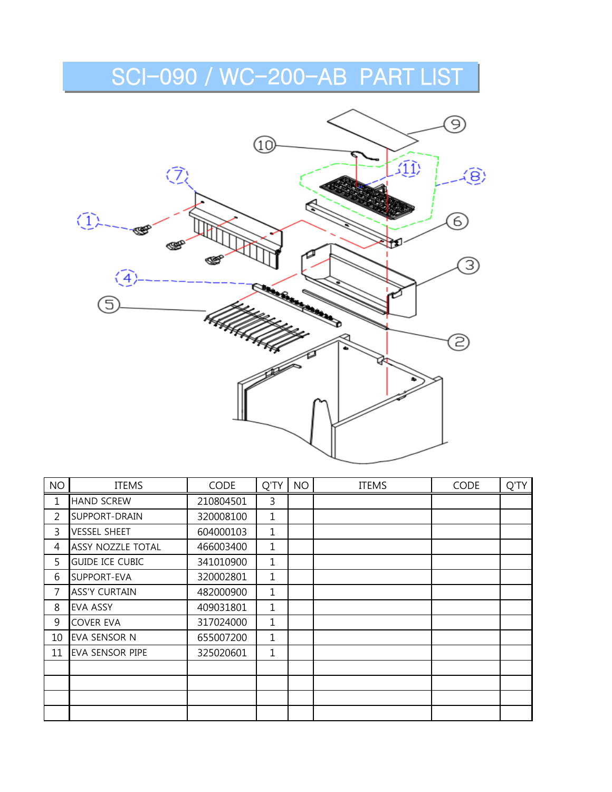

| <b>NO</b>      | <b>ITEMS</b>             | <b>CODE</b> | Q'TY | <b>NO</b> | <b>ITEMS</b> | <b>CODE</b> | Q'TY |
|----------------|--------------------------|-------------|------|-----------|--------------|-------------|------|
| 1              | <b>HAND SCREW</b>        | 210804501   | 3    |           |              |             |      |
| 2              | SUPPORT-DRAIN            | 320008100   | 1    |           |              |             |      |
| 3              | <b>VESSEL SHEET</b>      | 604000103   | 1    |           |              |             |      |
| 4              | <b>ASSY NOZZLE TOTAL</b> | 466003400   | 1    |           |              |             |      |
| 5              | <b>GUIDE ICE CUBIC</b>   | 341010900   | 1    |           |              |             |      |
| 6              | SUPPORT-EVA              | 320002801   | 1    |           |              |             |      |
| $\overline{7}$ | <b>ASS'Y CURTAIN</b>     | 482000900   | 1    |           |              |             |      |
| 8              | <b>EVA ASSY</b>          | 409031801   | 1    |           |              |             |      |
| 9              | <b>COVER EVA</b>         | 317024000   | 1    |           |              |             |      |
| 10             | <b>EVA SENSOR N</b>      | 655007200   | 1    |           |              |             |      |
| 11             | EVA SENSOR PIPE          | 325020601   | 1    |           |              |             |      |
|                |                          |             |      |           |              |             |      |
|                |                          |             |      |           |              |             |      |
|                |                          |             |      |           |              |             |      |
|                |                          |             |      |           |              |             |      |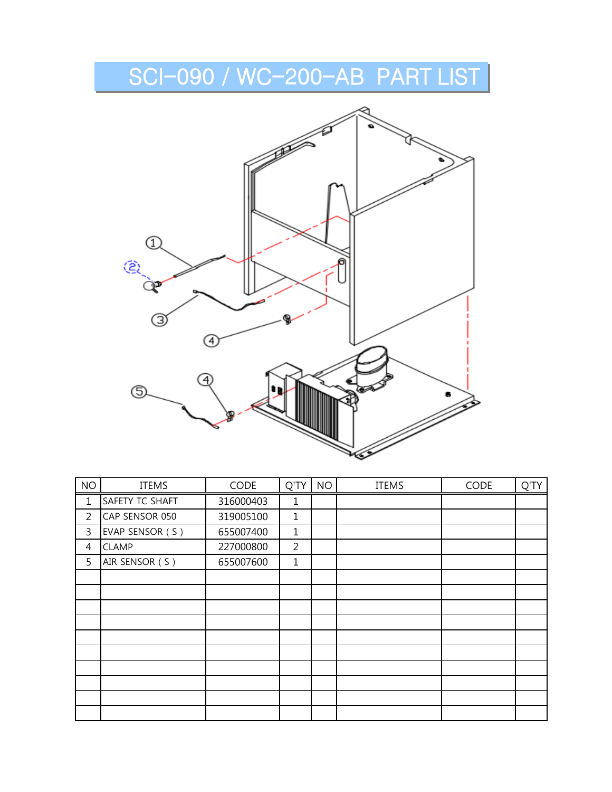

| <b>NO</b>      | <b>ITEMS</b>    | <b>CODE</b> | Q'TY           | <b>NO</b> | <b>ITEMS</b> | CODE | Q'TY |
|----------------|-----------------|-------------|----------------|-----------|--------------|------|------|
| 1              | SAFETY TC SHAFT | 316000403   | 1              |           |              |      |      |
| $\overline{2}$ | CAP SENSOR 050  | 319005100   | $\mathbf{1}$   |           |              |      |      |
| 3              | EVAP SENSOR (S) | 655007400   | $\mathbf{1}$   |           |              |      |      |
| 4              | <b>CLAMP</b>    | 227000800   | $\overline{2}$ |           |              |      |      |
| 5              | AIR SENSOR (S)  | 655007600   | $\mathbf{1}$   |           |              |      |      |
|                |                 |             |                |           |              |      |      |
|                |                 |             |                |           |              |      |      |
|                |                 |             |                |           |              |      |      |
|                |                 |             |                |           |              |      |      |
|                |                 |             |                |           |              |      |      |
|                |                 |             |                |           |              |      |      |
|                |                 |             |                |           |              |      |      |
|                |                 |             |                |           |              |      |      |
|                |                 |             |                |           |              |      |      |
|                |                 |             |                |           |              |      |      |